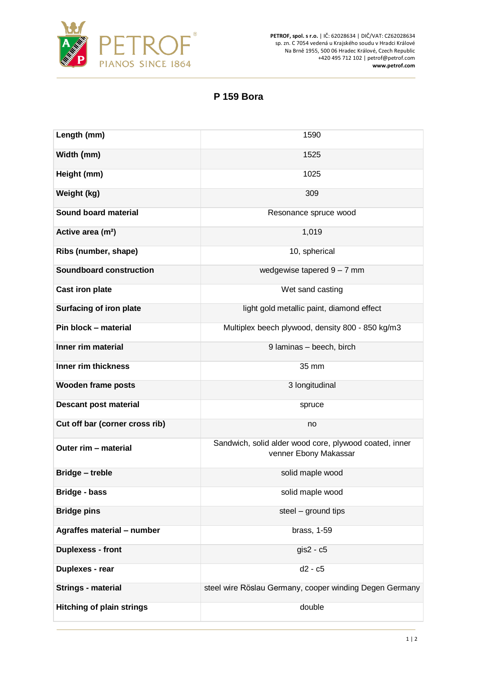

**PETROF, spol. s r.o.** | IČ: 62028634 | DIČ/VAT: CZ62028634 sp. zn. C 7054 vedená u Krajského soudu v Hradci Králové Na Brně 1955, 500 06 Hradec Králové, Czech Republic +420 495 712 102 | petrof@petrof.com **www.petrof.com**

## **P 159 Bora**

| Length (mm)                      | 1590                                                                            |
|----------------------------------|---------------------------------------------------------------------------------|
| Width (mm)                       | 1525                                                                            |
| Height (mm)                      | 1025                                                                            |
| Weight (kg)                      | 309                                                                             |
| Sound board material             | Resonance spruce wood                                                           |
| Active area (m <sup>2</sup> )    | 1,019                                                                           |
| Ribs (number, shape)             | 10, spherical                                                                   |
| <b>Soundboard construction</b>   | wedgewise tapered $9 - 7$ mm                                                    |
| <b>Cast iron plate</b>           | Wet sand casting                                                                |
| Surfacing of iron plate          | light gold metallic paint, diamond effect                                       |
| Pin block - material             | Multiplex beech plywood, density 800 - 850 kg/m3                                |
| Inner rim material               | 9 Iaminas - beech, birch                                                        |
| Inner rim thickness              | 35 mm                                                                           |
| <b>Wooden frame posts</b>        | 3 longitudinal                                                                  |
| <b>Descant post material</b>     | spruce                                                                          |
| Cut off bar (corner cross rib)   | no                                                                              |
| Outer rim - material             | Sandwich, solid alder wood core, plywood coated, inner<br>venner Ebony Makassar |
| <b>Bridge - treble</b>           | solid maple wood                                                                |
| Bridge - bass                    | solid maple wood                                                                |
| <b>Bridge pins</b>               | steel - ground tips                                                             |
| Agraffes material - number       | brass, 1-59                                                                     |
| <b>Duplexess - front</b>         | $gis2 - c5$                                                                     |
| Duplexes - rear                  | d2 - c5                                                                         |
| <b>Strings - material</b>        | steel wire Röslau Germany, cooper winding Degen Germany                         |
| <b>Hitching of plain strings</b> | double                                                                          |